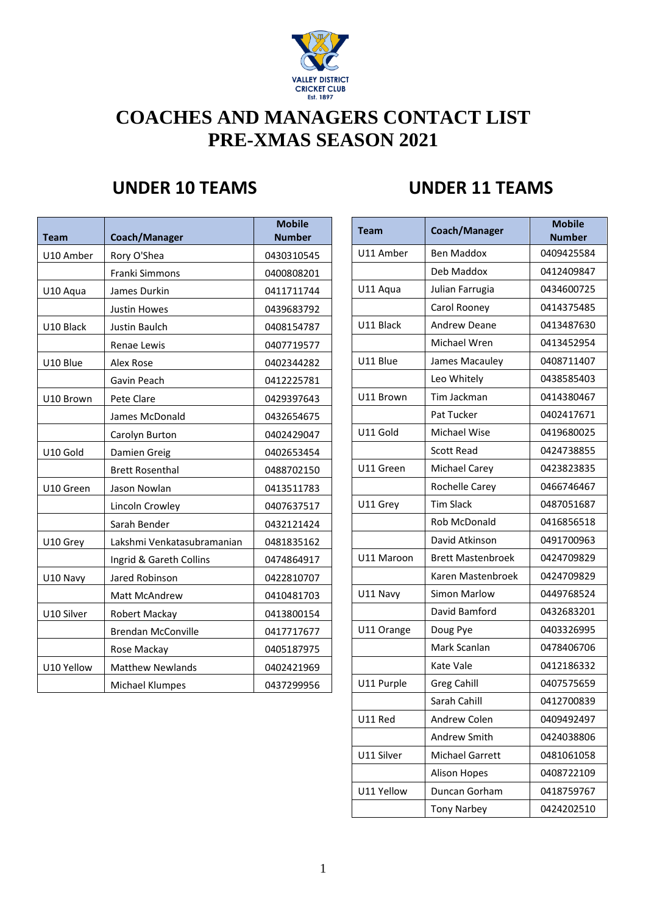

# **COACHES AND MANAGERS CONTACT LIST PRE-XMAS SEASON 2021**

| <b>Team</b> | Coach/Manager              | <b>Mobile</b><br><b>Number</b> | <b>Team</b> | Coach/Manager            | <b>Mobile</b><br><b>Number</b> |
|-------------|----------------------------|--------------------------------|-------------|--------------------------|--------------------------------|
| U10 Amber   | Rory O'Shea                | 0430310545                     | U11 Amber   | <b>Ben Maddox</b>        | 0409425584                     |
|             | Franki Simmons             | 0400808201                     |             | Deb Maddox               | 0412409847                     |
| U10 Aqua    | James Durkin               | 0411711744                     | U11 Aqua    | Julian Farrugia          | 0434600725                     |
|             | <b>Justin Howes</b>        | 0439683792                     |             | Carol Rooney             | 0414375485                     |
| U10 Black   | Justin Baulch              | 0408154787                     | U11 Black   | Andrew Deane             | 0413487630                     |
|             | Renae Lewis                | 0407719577                     |             | Michael Wren             | 0413452954                     |
| U10 Blue    | Alex Rose                  | 0402344282                     | U11 Blue    | James Macauley           | 0408711407                     |
|             | Gavin Peach                | 0412225781                     |             | Leo Whitely              | 0438585403                     |
| U10 Brown   | Pete Clare                 | 0429397643                     | U11 Brown   | Tim Jackman              | 0414380467                     |
|             | James McDonald             | 0432654675                     |             | Pat Tucker               | 0402417671                     |
|             | Carolyn Burton             | 0402429047                     | U11 Gold    | Michael Wise             | 0419680025                     |
| U10 Gold    | Damien Greig               | 0402653454                     |             | <b>Scott Read</b>        | 0424738855                     |
|             | <b>Brett Rosenthal</b>     | 0488702150                     | U11 Green   | <b>Michael Carey</b>     | 0423823835                     |
| U10 Green   | Jason Nowlan               | 0413511783                     |             | <b>Rochelle Carey</b>    | 0466746467                     |
|             | Lincoln Crowley            | 0407637517                     | U11 Grey    | <b>Tim Slack</b>         | 0487051687                     |
|             | Sarah Bender               | 0432121424                     |             | Rob McDonald             | 0416856518                     |
| U10 Grey    | Lakshmi Venkatasubramanian | 0481835162                     |             | David Atkinson           | 0491700963                     |
|             | Ingrid & Gareth Collins    | 0474864917                     | U11 Maroon  | <b>Brett Mastenbroek</b> | 0424709829                     |
| U10 Navy    | Jared Robinson             | 0422810707                     |             | Karen Mastenbroek        | 0424709829                     |
|             | Matt McAndrew              | 0410481703                     | U11 Navy    | <b>Simon Marlow</b>      | 0449768524                     |
| U10 Silver  | Robert Mackay              | 0413800154                     |             | David Bamford            | 0432683201                     |
|             | <b>Brendan McConville</b>  | 0417717677                     | U11 Orange  | Doug Pye                 | 0403326995                     |
|             | Rose Mackay                | 0405187975                     |             | Mark Scanlan             | 0478406706                     |
| U10 Yellow  | <b>Matthew Newlands</b>    | 0402421969                     |             | Kate Vale                | 0412186332                     |
|             | Michael Klumpes            | 0437299956                     | U11 Purple  | <b>Greg Cahill</b>       | 0407575659                     |

## **UNDER 10 TEAMS UNDER 11 TEAMS**

| Coach/Manager              | <b>Mobile</b><br><b>Number</b> | <b>Team</b> | Coach/Manager            | <b>Mobile</b><br><b>Number</b> |
|----------------------------|--------------------------------|-------------|--------------------------|--------------------------------|
| Rory O'Shea                | 0430310545                     | U11 Amber   | <b>Ben Maddox</b>        | 0409425584                     |
| Franki Simmons             | 0400808201                     |             | Deb Maddox               | 0412409847                     |
| James Durkin               | 0411711744                     | U11 Aqua    | Julian Farrugia          | 0434600725                     |
| Justin Howes               | 0439683792                     |             | Carol Rooney             | 0414375485                     |
| Justin Baulch              | 0408154787                     | U11 Black   | Andrew Deane             | 0413487630                     |
| Renae Lewis                | 0407719577                     |             | Michael Wren             | 0413452954                     |
| Alex Rose                  | 0402344282                     | U11 Blue    | James Macauley           | 0408711407                     |
| Gavin Peach                | 0412225781                     |             | Leo Whitely              | 0438585403                     |
| Pete Clare                 | 0429397643                     | U11 Brown   | Tim Jackman              | 0414380467                     |
| James McDonald             | 0432654675                     |             | Pat Tucker               | 0402417671                     |
| Carolyn Burton             | 0402429047                     | U11 Gold    | Michael Wise             | 0419680025                     |
| Damien Greig               | 0402653454                     |             | <b>Scott Read</b>        | 0424738855                     |
| <b>Brett Rosenthal</b>     | 0488702150                     | U11 Green   | <b>Michael Carey</b>     | 0423823835                     |
| Jason Nowlan               | 0413511783                     |             | <b>Rochelle Carey</b>    | 0466746467                     |
| Lincoln Crowley            | 0407637517                     | U11 Grey    | <b>Tim Slack</b>         | 0487051687                     |
| Sarah Bender               | 0432121424                     |             | <b>Rob McDonald</b>      | 0416856518                     |
| Lakshmi Venkatasubramanian | 0481835162                     |             | David Atkinson           | 0491700963                     |
| Ingrid & Gareth Collins    | 0474864917                     | U11 Maroon  | <b>Brett Mastenbroek</b> | 0424709829                     |
| Jared Robinson             | 0422810707                     |             | Karen Mastenbroek        | 0424709829                     |
| Matt McAndrew              | 0410481703                     | U11 Navy    | Simon Marlow             | 0449768524                     |
| Robert Mackay              | 0413800154                     |             | David Bamford            | 0432683201                     |
| <b>Brendan McConville</b>  | 0417717677                     | U11 Orange  | Doug Pye                 | 0403326995                     |
| Rose Mackay                | 0405187975                     |             | Mark Scanlan             | 0478406706                     |
| <b>Matthew Newlands</b>    | 0402421969                     |             | Kate Vale                | 0412186332                     |
| Michael Klumpes            | 0437299956                     | U11 Purple  | <b>Greg Cahill</b>       | 0407575659                     |
|                            |                                |             | Sarah Cahill             | 0412700839                     |
|                            |                                | U11 Red     | Andrew Colen             | 0409492497                     |
|                            |                                |             | Andrew Smith             | 0424038806                     |
|                            |                                | U11 Silver  | Michael Garrett          | 0481061058                     |
|                            |                                |             | <b>Alison Hopes</b>      | 0408722109                     |
|                            |                                | U11 Yellow  | Duncan Gorham            | 0418759767                     |
|                            |                                |             | <b>Tony Narbey</b>       | 0424202510                     |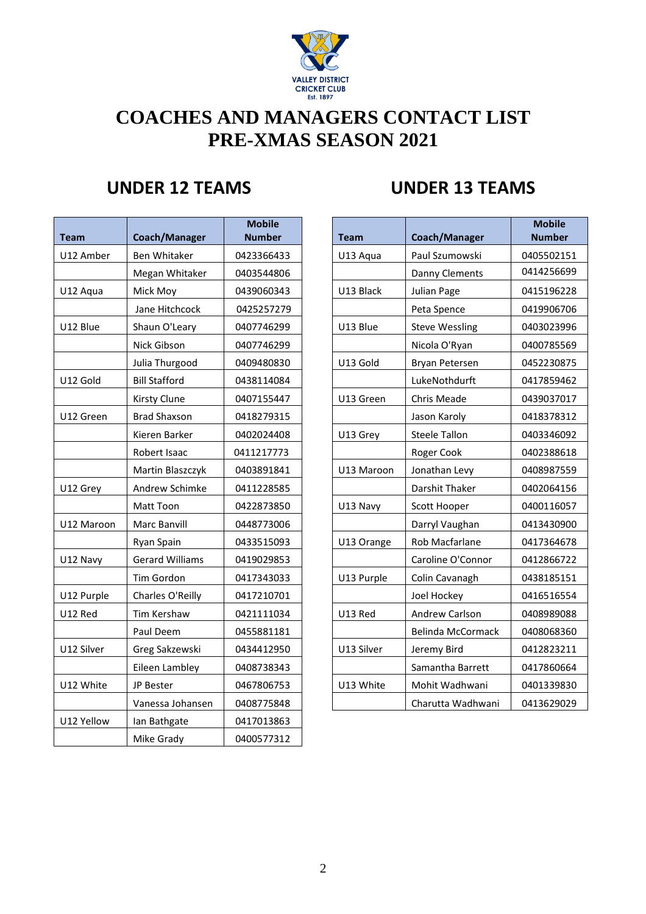

# **COACHES AND MANAGERS CONTACT LIST PRE-XMAS SEASON 2021**

| Team       | Coach/Manager          | <b>Mobile</b><br><b>Number</b> |
|------------|------------------------|--------------------------------|
| U12 Amber  | <b>Ben Whitaker</b>    | 0423366433                     |
|            | Megan Whitaker         | 0403544806                     |
| U12 Aqua   | Mick Moy               | 0439060343                     |
|            | Jane Hitchcock         | 0425257279                     |
| U12 Blue   | Shaun O'Leary          | 0407746299                     |
|            | Nick Gibson            | 0407746299                     |
|            | Julia Thurgood         | 0409480830                     |
| U12 Gold   | <b>Bill Stafford</b>   | 0438114084                     |
|            | Kirsty Clune           | 0407155447                     |
| U12 Green  | <b>Brad Shaxson</b>    | 0418279315                     |
|            | Kieren Barker          | 0402024408                     |
|            | Robert Isaac           | 0411217773                     |
|            | Martin Blaszczyk       | 0403891841                     |
| U12 Grey   | Andrew Schimke         | 0411228585                     |
|            | Matt Toon              | 0422873850                     |
| U12 Maroon | Marc Banvill           | 0448773006                     |
|            | Ryan Spain             | 0433515093                     |
| U12 Navy   | <b>Gerard Williams</b> | 0419029853                     |
|            | Tim Gordon             | 0417343033                     |
| U12 Purple | Charles O'Reilly       | 0417210701                     |
| U12 Red    | Tim Kershaw            | 0421111034                     |
|            | Paul Deem              | 0455881181                     |
| U12 Silver | Greg Sakzewski         | 0434412950                     |
|            | Eileen Lambley         | 0408738343                     |
| U12 White  | JP Bester              | 0467806753                     |
|            | Vanessa Johansen       | 0408775848                     |
| U12 Yellow | lan Bathgate           | 0417013863                     |
|            | Mike Grady             | 0400577312                     |

### **UNDER 12 TEAMS UNDER 13 TEAMS**

| <b>Team</b> | Coach/Manager          | <b>Mobile</b><br><b>Number</b> | <b>Team</b> | Coach/Manager            | <b>Mobile</b><br><b>Number</b> |
|-------------|------------------------|--------------------------------|-------------|--------------------------|--------------------------------|
| U12 Amber   | <b>Ben Whitaker</b>    | 0423366433                     | U13 Aqua    | Paul Szumowski           | 0405502151                     |
|             | Megan Whitaker         | 0403544806                     |             | <b>Danny Clements</b>    | 0414256699                     |
| U12 Aqua    | Mick Moy               | 0439060343                     | U13 Black   | Julian Page              | 0415196228                     |
|             | Jane Hitchcock         | 0425257279                     |             | Peta Spence              | 0419906706                     |
| U12 Blue    | Shaun O'Leary          | 0407746299                     | U13 Blue    | <b>Steve Wessling</b>    | 0403023996                     |
|             | Nick Gibson            | 0407746299                     |             | Nicola O'Ryan            | 0400785569                     |
|             | Julia Thurgood         | 0409480830                     | U13 Gold    | Bryan Petersen           | 0452230875                     |
| U12 Gold    | <b>Bill Stafford</b>   | 0438114084                     |             | LukeNothdurft            | 0417859462                     |
|             | <b>Kirsty Clune</b>    | 0407155447                     | U13 Green   | Chris Meade              | 0439037017                     |
| U12 Green   | <b>Brad Shaxson</b>    | 0418279315                     |             | Jason Karoly             | 0418378312                     |
|             | Kieren Barker          | 0402024408                     | U13 Grey    | <b>Steele Tallon</b>     | 0403346092                     |
|             | Robert Isaac           | 0411217773                     |             | Roger Cook               | 0402388618                     |
|             | Martin Blaszczyk       | 0403891841                     | U13 Maroon  | Jonathan Levy            | 0408987559                     |
| U12 Grey    | Andrew Schimke         | 0411228585                     |             | <b>Darshit Thaker</b>    | 0402064156                     |
|             | Matt Toon              | 0422873850                     | U13 Navy    | Scott Hooper             | 0400116057                     |
| U12 Maroon  | Marc Banvill           | 0448773006                     |             | Darryl Vaughan           | 0413430900                     |
|             | Ryan Spain             | 0433515093                     | U13 Orange  | Rob Macfarlane           | 0417364678                     |
| U12 Navy    | <b>Gerard Williams</b> | 0419029853                     |             | Caroline O'Connor        | 0412866722                     |
|             | Tim Gordon             | 0417343033                     | U13 Purple  | Colin Cavanagh           | 0438185151                     |
| U12 Purple  | Charles O'Reilly       | 0417210701                     |             | Joel Hockey              | 0416516554                     |
| U12 Red     | Tim Kershaw            | 0421111034                     | U13 Red     | Andrew Carlson           | 0408989088                     |
|             | Paul Deem              | 0455881181                     |             | <b>Belinda McCormack</b> | 0408068360                     |
| U12 Silver  | Greg Sakzewski         | 0434412950                     | U13 Silver  | Jeremy Bird              | 0412823211                     |
|             | Eileen Lambley         | 0408738343                     |             | Samantha Barrett         | 0417860664                     |
| U12 White   | JP Bester              | 0467806753                     | U13 White   | Mohit Wadhwani           | 0401339830                     |
|             | Vanessa Johansen       | 0408775848                     |             | Charutta Wadhwani        | 0413629029                     |